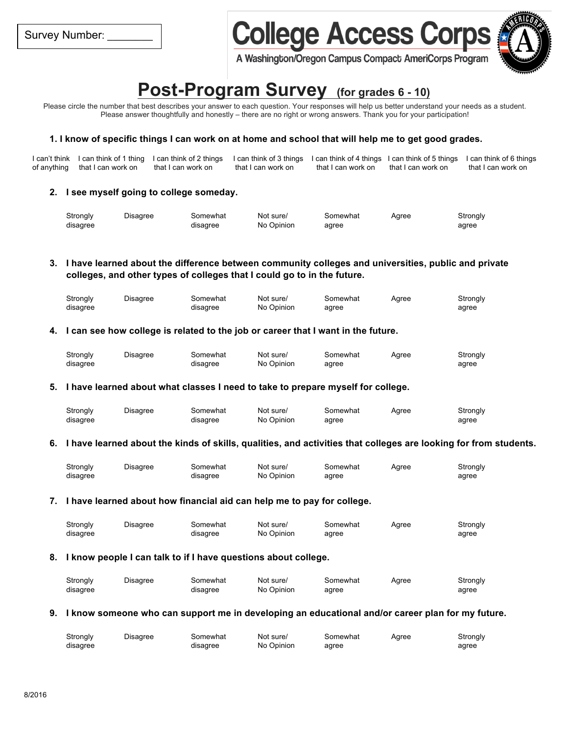# **College Access Corp**

A Washington/Oregon Campus Compact AmeriCorps Program



# **Post-Program Survey (for grades 6 - 10)**

Please circle the number that best describes your answer to each question. Your responses will help us better understand your needs as a student. Please answer thoughtfully and honestly – there are no right or wrong answers. Thank you for your participation!

#### **1. I know of specific things I can work on at home and school that will help me to get good grades.**

|                                | I can't think I can think of 1 thing I can think of 2 things I can think of 3 things I can think of 4 things I can think of 5 things I can think of 6 things |                    |                    |                    |                    |
|--------------------------------|--------------------------------------------------------------------------------------------------------------------------------------------------------------|--------------------|--------------------|--------------------|--------------------|
| of anything that I can work on | that I can work on                                                                                                                                           | that I can work on | that I can work on | that I can work on | that I can work on |

#### **2. I see myself going to college someday.**

| Strongly | Disagree | Somewhat | Not sure/  | Somewhat | Aaree | Strongly |
|----------|----------|----------|------------|----------|-------|----------|
| disagree |          | disagree | No Opinion | agree    |       | agree    |

# **3. I have learned about the difference between community colleges and universities, public and private colleges, and other types of colleges that I could go to in the future.**

| Strongly | Disagree | Somewhat | Not sure/  | Somewhat | Agree | Strongly |
|----------|----------|----------|------------|----------|-------|----------|
| disagree |          | disagree | No Opinion | agree    |       | agree    |

#### **4. I can see how college is related to the job or career that I want in the future.**

| Strongly | Disagree | Somewhat | Not sure/  | Somewhat | Agree | Strongly |
|----------|----------|----------|------------|----------|-------|----------|
| disagree |          | disagree | No Opinion | agree    |       | aaree    |

## **5. I have learned about what classes I need to take to prepare myself for college.**

| Strongly | Disagree | Somewhat | Not sure/  | Somewhat | Agree | Strongly |
|----------|----------|----------|------------|----------|-------|----------|
| disagree |          | disagree | No Opinion | agree    |       | agree    |

#### **6. I have learned about the kinds of skills, qualities, and activities that colleges are looking for from students.**

| Strongly | Disagree | Somewhat | Not sure/  | Somewhat | Aaree | Strongly |
|----------|----------|----------|------------|----------|-------|----------|
| disagree |          | disagree | No Opinion | aaree    |       | agree    |

#### **7. I have learned about how financial aid can help me to pay for college.**

| Strongly | Disagree | Somewhat | Not sure/  | Somewhat | Agree | Strongly |
|----------|----------|----------|------------|----------|-------|----------|
| disagree |          | disagree | No Opinion | agree    |       | agree    |

#### **8. I know people I can talk to if I have questions about college.**

| Strongly | Disagree | Somewhat | Not sure/  | Somewhat | Agree | Strongly |
|----------|----------|----------|------------|----------|-------|----------|
| disagree |          | disagree | No Opinion | aaree    |       | agree    |

#### **9. I know someone who can support me in developing an educational and/or career plan for my future.**

| Strongly | Disagree | Somewhat | Not sure/  | Somewhat | Agree | Strongly |
|----------|----------|----------|------------|----------|-------|----------|
| disagree |          | disagree | No Opinion | agree    |       | agree    |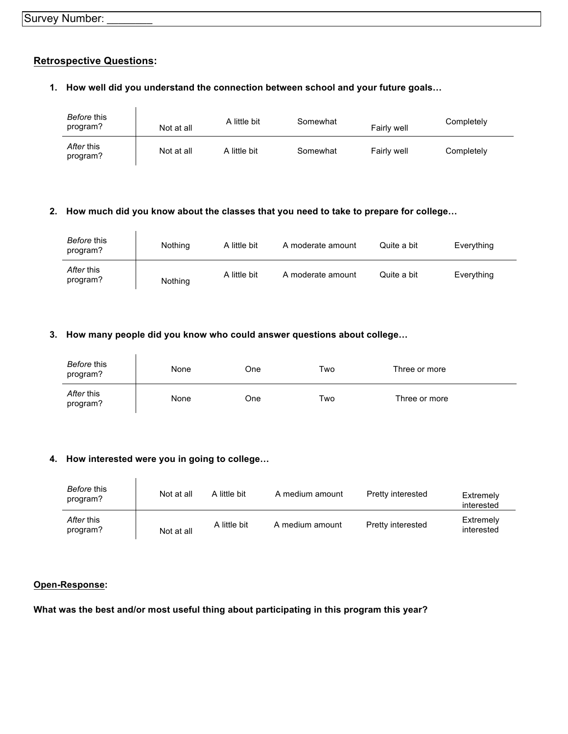# **Retrospective Questions:**

| Before this<br>program? | Not at all | A little bit | Somewhat | Fairly well | Completely |
|-------------------------|------------|--------------|----------|-------------|------------|
| After this<br>program?  | Not at all | A little bit | Somewhat | Fairly well | Completely |

# **1. How well did you understand the connection between school and your future goals…**

# **2. How much did you know about the classes that you need to take to prepare for college…**

| <i>Before</i> this<br>program? | Nothing | A little bit | A moderate amount | Quite a bit | Everything |
|--------------------------------|---------|--------------|-------------------|-------------|------------|
| After this<br>program?         | Nothing | A little bit | A moderate amount | Quite a bit | Everything |

# **3. How many people did you know who could answer questions about college…**

| Before this<br>program? | None | One | ™° | Three or more |  |
|-------------------------|------|-----|----|---------------|--|
| After this<br>program?  | None | One | ™o | Three or more |  |

# **4. How interested were you in going to college…**

| Before this<br>program? | Not at all | A little bit | A medium amount | Pretty interested | Extremely<br>interested |
|-------------------------|------------|--------------|-----------------|-------------------|-------------------------|
| After this<br>program?  | Not at all | A little bit | A medium amount | Pretty interested | Extremely<br>interested |

## **Open-Response:**

# **What was the best and/or most useful thing about participating in this program this year?**